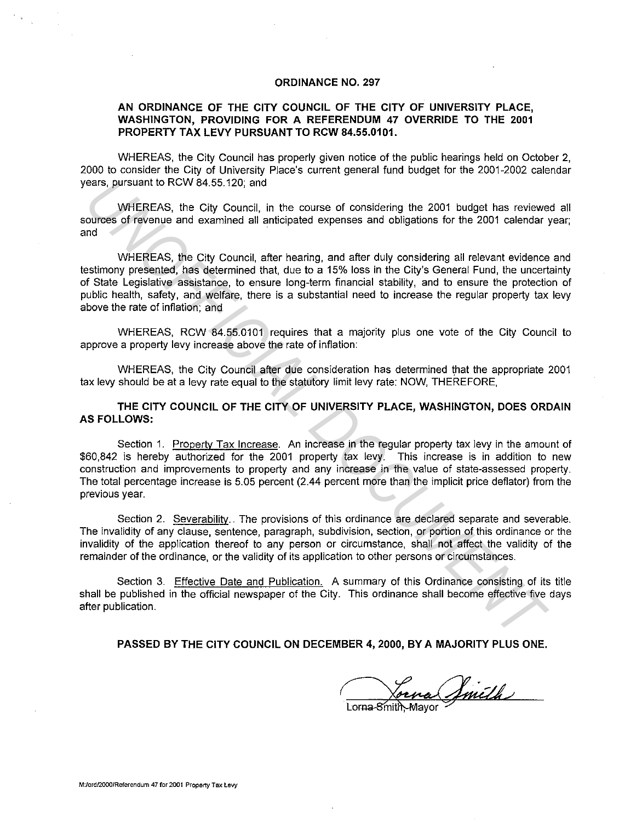## **ORDINANCE NO. 297**

## **AN ORDINANCE OF THE CITY COUNCIL OF THE CITY OF UNIVERSITY PLACE, WASHINGTON, PROVIDING FOR A REFERENDUM 47 OVERRIDE TO THE 2001 PROPERTY TAX LEVY PURSUANT TO RCW 84.55.0101.**

WHEREAS, the City Council has properly given notice of the public hearings held on October 2, 2000 to consider the City of University Place's current general fund budget for the 2001-2002 calendar years, pursuant to RCW 84.55.120; and

WHEREAS, the City Council, in the course of considering the 2001 budget has reviewed all sources of revenue and examined all anticipated expenses and obligations for the 2001 calendar year; and  $\mathcal{L}$  and  $\mathcal{L}$  and  $\mathcal{L}$  and  $\mathcal{L}$  and  $\mathcal{L}$  and  $\mathcal{L}$  and  $\mathcal{L}$  and  $\mathcal{L}$  and  $\mathcal{L}$  and  $\mathcal{L}$  and  $\mathcal{L}$  and  $\mathcal{L}$  and  $\mathcal{L}$  and  $\mathcal{L}$  and  $\mathcal{L}$  and  $\mathcal{L}$  and  $\mathcal{L}$ 

WHEREAS, the City Council, after hearing, and after duly considering all relevant evidence and testimony presented, has determined that, due to a 15% loss in the City's General Fund, the uncertainty of State Legislative assistance, to ensure long-term financial stability, and to ensure the protection of public health, safety, and welfare, there is a substantial need to increase the regular property tax levy above the rate of infiation; and ears, pursuant to RCW 84.55.120; and<br>
WHEREAS, the City Council, in the course of considering the 2001 budget has review<br>
environment of reviewers and constrained all anticipated expenses and obligations for the 2001 calen

WHEREAS, RCW 84.55.0101 requires that a majority plus one vote of the City Council to approve a property levy increase above the rate of infiation:

WHEREAS, the City Council after due consideration has determined that the appropriate 2001 tax levy should be at a levy rate equal to the statutory limit levy rate: NOW, THEREFORE,

**THE CITY COUNCIL OF THE CITY OF UNIVERSITY PLACE, WASHINGTON, DOES ORDAIN AS FOLLOWS:** 

Section 1. Property Tax Increase. An increase in the regular property tax levy in the amount of \$60,842 is hereby authorized for the 2001 property tax levy. This increase is in addition to new construction and improvements to property and any increase in the value of state-assessed property. The total percentage increase is 5. 05 percent (2.44 percent more than the implicit price defiator) from the previous year.

Section 2. Severability.. The provisions of this ordinance are declared separate and severable. The invalidity of any clause, sentence, paragraph, subdivision, section, or portion of this ordinance or the invalidity of the application thereof to any person or circumstance, shall not affect the validity of the remainder of the ordinance, or the validity of its application to other persons or circumstances.

Section 3. Effective Date and Publication. A summary of this Ordinance consisting of its title shall be published in the official newspaper of the City. This ordinance shall become effective five days after publication.

**PASSED BY THE CITY COUNCIL ON DECEMBER 4, 2000, BY A MAJORITY PLUS ONE.** 

forna Jmith

**M:/ordf2000!Referendum 47 for 2001 Property Tax Levy**